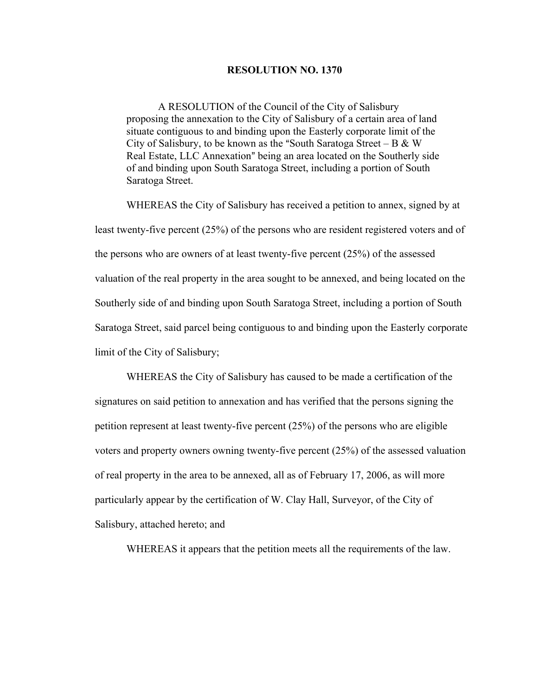## **RESOLUTION NO. 1370**

A RESOLUTION of the Council of the City of Salisbury proposing the annexation to the City of Salisbury of a certain area of land situate contiguous to and binding upon the Easterly corporate limit of the City of Salisbury, to be known as the "South Saratoga Street – B & W Real Estate, LLC Annexation" being an area located on the Southerly side of and binding upon South Saratoga Street, including a portion of South Saratoga Street.

WHEREAS the City of Salisbury has received a petition to annex, signed by at least twenty-five percent (25%) of the persons who are resident registered voters and of the persons who are owners of at least twenty-five percent (25%) of the assessed valuation of the real property in the area sought to be annexed, and being located on the Southerly side of and binding upon South Saratoga Street, including a portion of South Saratoga Street, said parcel being contiguous to and binding upon the Easterly corporate limit of the City of Salisbury;

WHEREAS the City of Salisbury has caused to be made a certification of the signatures on said petition to annexation and has verified that the persons signing the petition represent at least twenty-five percent (25%) of the persons who are eligible voters and property owners owning twenty-five percent (25%) of the assessed valuation of real property in the area to be annexed, all as of February 17, 2006, as will more particularly appear by the certification of W. Clay Hall, Surveyor, of the City of Salisbury, attached hereto; and

WHEREAS it appears that the petition meets all the requirements of the law.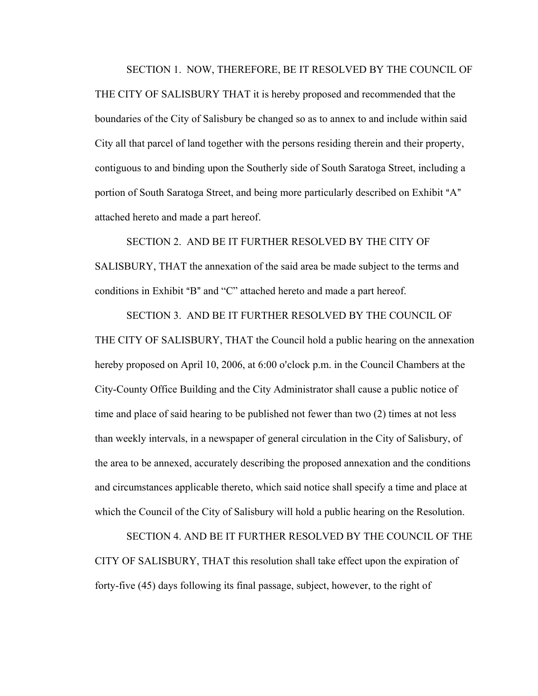SECTION 1. NOW, THEREFORE, BE IT RESOLVED BY THE COUNCIL OF

THE CITY OF SALISBURY THAT it is hereby proposed and recommended that the boundaries of the City of Salisbury be changed so as to annex to and include within said City all that parcel of land together with the persons residing therein and their property, contiguous to and binding upon the Southerly side of South Saratoga Street, including a portion of South Saratoga Street, and being more particularly described on Exhibit "A" attached hereto and made a part hereof.

SECTION 2. AND BE IT FURTHER RESOLVED BY THE CITY OF SALISBURY, THAT the annexation of the said area be made subject to the terms and conditions in Exhibit "B" and "C" attached hereto and made a part hereof.

SECTION 3. AND BE IT FURTHER RESOLVED BY THE COUNCIL OF THE CITY OF SALISBURY, THAT the Council hold a public hearing on the annexation hereby proposed on April 10, 2006, at  $6:00$  o'clock p.m. in the Council Chambers at the City-County Office Building and the City Administrator shall cause a public notice of time and place of said hearing to be published not fewer than two (2) times at not less than weekly intervals, in a newspaper of general circulation in the City of Salisbury, of the area to be annexed, accurately describing the proposed annexation and the conditions and circumstances applicable thereto, which said notice shall specify a time and place at which the Council of the City of Salisbury will hold a public hearing on the Resolution.

SECTION 4. AND BE IT FURTHER RESOLVED BY THE COUNCIL OF THE CITY OF SALISBURY, THAT this resolution shall take effect upon the expiration of forty-five (45) days following its final passage, subject, however, to the right of